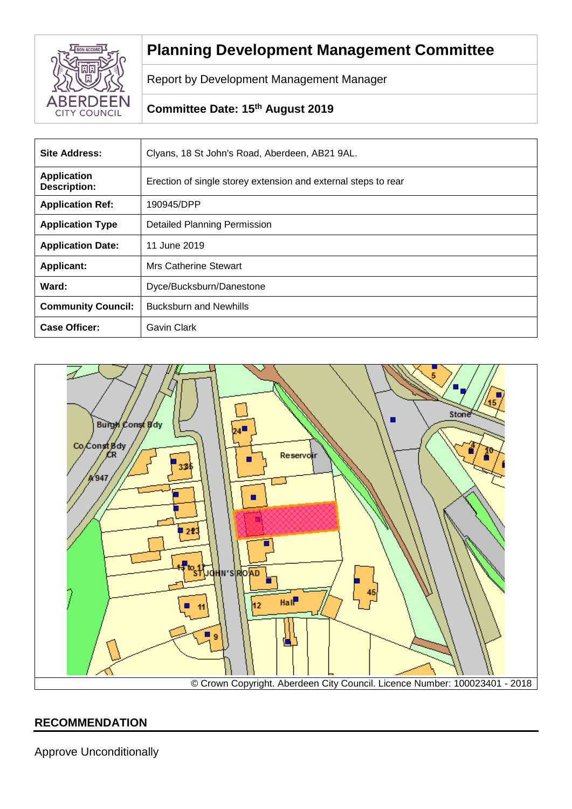

# **Planning Development Management Committee**

Report by Development Management Manager

# **Committee Date: 15th August 2019**

| <b>Site Address:</b>                      | Clyans, 18 St John's Road, Aberdeen, AB21 9AL.                 |
|-------------------------------------------|----------------------------------------------------------------|
| <b>Application</b><br><b>Description:</b> | Erection of single storey extension and external steps to rear |
| <b>Application Ref:</b>                   | 190945/DPP                                                     |
| <b>Application Type</b>                   | <b>Detailed Planning Permission</b>                            |
| <b>Application Date:</b>                  | 11 June 2019                                                   |
| <b>Applicant:</b>                         | Mrs Catherine Stewart                                          |
| Ward:                                     | Dyce/Bucksburn/Danestone                                       |
| <b>Community Council:</b>                 | <b>Bucksburn and Newhills</b>                                  |
| <b>Case Officer:</b>                      | <b>Gavin Clark</b>                                             |



# **RECOMMENDATION**

Approve Unconditionally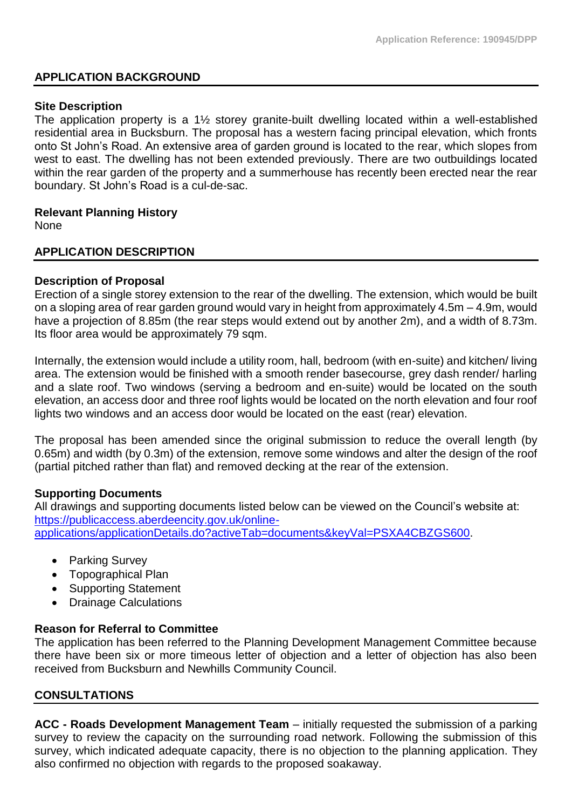## **APPLICATION BACKGROUND**

#### **Site Description**

The application property is a 1½ storey granite-built dwelling located within a well-established residential area in Bucksburn. The proposal has a western facing principal elevation, which fronts onto St John's Road. An extensive area of garden ground is located to the rear, which slopes from west to east. The dwelling has not been extended previously. There are two outbuildings located within the rear garden of the property and a summerhouse has recently been erected near the rear boundary. St John's Road is a cul-de-sac.

#### **Relevant Planning History**

None

### **APPLICATION DESCRIPTION**

### **Description of Proposal**

Erection of a single storey extension to the rear of the dwelling. The extension, which would be built on a sloping area of rear garden ground would vary in height from approximately 4.5m – 4.9m, would have a projection of 8.85m (the rear steps would extend out by another 2m), and a width of 8.73m. Its floor area would be approximately 79 sqm.

Internally, the extension would include a utility room, hall, bedroom (with en-suite) and kitchen/ living area. The extension would be finished with a smooth render basecourse, grey dash render/ harling and a slate roof. Two windows (serving a bedroom and en-suite) would be located on the south elevation, an access door and three roof lights would be located on the north elevation and four roof lights two windows and an access door would be located on the east (rear) elevation.

The proposal has been amended since the original submission to reduce the overall length (by 0.65m) and width (by 0.3m) of the extension, remove some windows and alter the design of the roof (partial pitched rather than flat) and removed decking at the rear of the extension.

### **Supporting Documents**

All drawings and supporting documents listed below can be viewed on the Council's website at: [https://publicaccess.aberdeencity.gov.uk/online](https://publicaccess.aberdeencity.gov.uk/online-applications/applicationDetails.do?activeTab=documents&keyVal=PSXA4CBZGS600)[applications/applicationDetails.do?activeTab=documents&keyVal=PSXA4CBZGS600.](https://publicaccess.aberdeencity.gov.uk/online-applications/applicationDetails.do?activeTab=documents&keyVal=PSXA4CBZGS600)

- Parking Survey
- Topographical Plan
- Supporting Statement
- Drainage Calculations

### **Reason for Referral to Committee**

The application has been referred to the Planning Development Management Committee because there have been six or more timeous letter of objection and a letter of objection has also been received from Bucksburn and Newhills Community Council.

### **CONSULTATIONS**

**ACC - Roads Development Management Team** – initially requested the submission of a parking survey to review the capacity on the surrounding road network. Following the submission of this survey, which indicated adequate capacity, there is no objection to the planning application. They also confirmed no objection with regards to the proposed soakaway.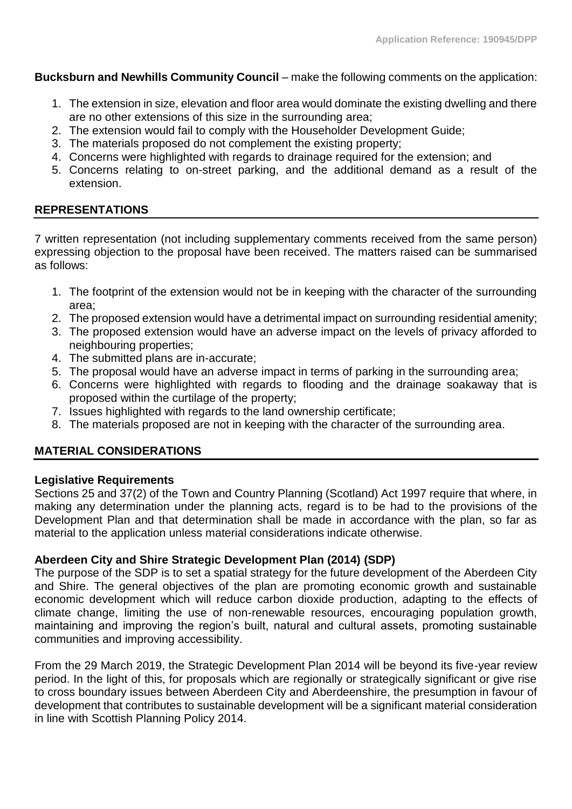**Bucksburn and Newhills Community Council** – make the following comments on the application:

- 1. The extension in size, elevation and floor area would dominate the existing dwelling and there are no other extensions of this size in the surrounding area;
- 2. The extension would fail to comply with the Householder Development Guide;
- 3. The materials proposed do not complement the existing property;
- 4. Concerns were highlighted with regards to drainage required for the extension; and
- 5. Concerns relating to on-street parking, and the additional demand as a result of the extension.

# **REPRESENTATIONS**

7 written representation (not including supplementary comments received from the same person) expressing objection to the proposal have been received. The matters raised can be summarised as follows:

- 1. The footprint of the extension would not be in keeping with the character of the surrounding area;
- 2. The proposed extension would have a detrimental impact on surrounding residential amenity;
- 3. The proposed extension would have an adverse impact on the levels of privacy afforded to neighbouring properties;
- 4. The submitted plans are in-accurate;
- 5. The proposal would have an adverse impact in terms of parking in the surrounding area;
- 6. Concerns were highlighted with regards to flooding and the drainage soakaway that is proposed within the curtilage of the property;
- 7. Issues highlighted with regards to the land ownership certificate;
- 8. The materials proposed are not in keeping with the character of the surrounding area.

# **MATERIAL CONSIDERATIONS**

# **Legislative Requirements**

Sections 25 and 37(2) of the Town and Country Planning (Scotland) Act 1997 require that where, in making any determination under the planning acts, regard is to be had to the provisions of the Development Plan and that determination shall be made in accordance with the plan, so far as material to the application unless material considerations indicate otherwise.

# **Aberdeen City and Shire Strategic Development Plan (2014) (SDP)**

The purpose of the SDP is to set a spatial strategy for the future development of the Aberdeen City and Shire. The general objectives of the plan are promoting economic growth and sustainable economic development which will reduce carbon dioxide production, adapting to the effects of climate change, limiting the use of non-renewable resources, encouraging population growth, maintaining and improving the region's built, natural and cultural assets, promoting sustainable communities and improving accessibility.

From the 29 March 2019, the Strategic Development Plan 2014 will be beyond its five-year review period. In the light of this, for proposals which are regionally or strategically significant or give rise to cross boundary issues between Aberdeen City and Aberdeenshire, the presumption in favour of development that contributes to sustainable development will be a significant material consideration in line with Scottish Planning Policy 2014.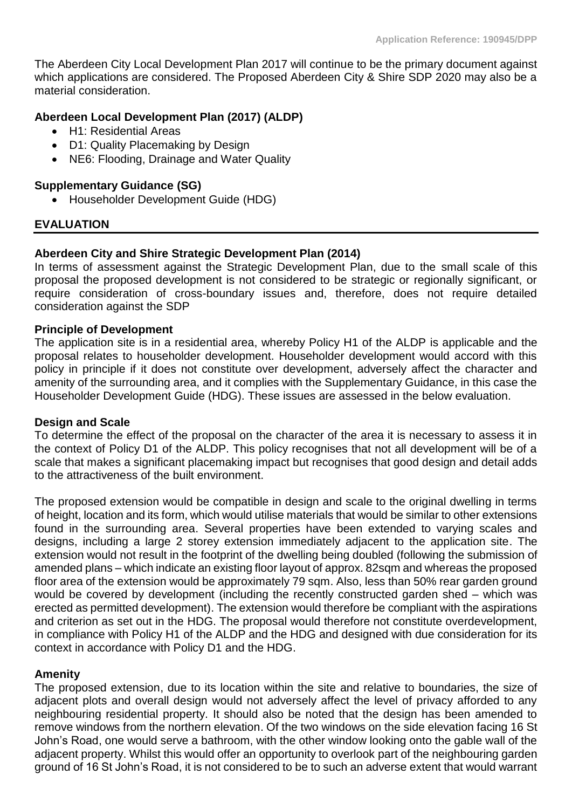The Aberdeen City Local Development Plan 2017 will continue to be the primary document against which applications are considered. The Proposed Aberdeen City & Shire SDP 2020 may also be a material consideration.

# **Aberdeen Local Development Plan (2017) (ALDP)**

- H1: Residential Areas
- D1: Quality Placemaking by Design
- NE6: Flooding, Drainage and Water Quality

# **Supplementary Guidance (SG)**

• Householder Development Guide (HDG)

# **EVALUATION**

# **Aberdeen City and Shire Strategic Development Plan (2014)**

In terms of assessment against the Strategic Development Plan, due to the small scale of this proposal the proposed development is not considered to be strategic or regionally significant, or require consideration of cross-boundary issues and, therefore, does not require detailed consideration against the SDP

## **Principle of Development**

The application site is in a residential area, whereby Policy H1 of the ALDP is applicable and the proposal relates to householder development. Householder development would accord with this policy in principle if it does not constitute over development, adversely affect the character and amenity of the surrounding area, and it complies with the Supplementary Guidance, in this case the Householder Development Guide (HDG). These issues are assessed in the below evaluation.

## **Design and Scale**

To determine the effect of the proposal on the character of the area it is necessary to assess it in the context of Policy D1 of the ALDP. This policy recognises that not all development will be of a scale that makes a significant placemaking impact but recognises that good design and detail adds to the attractiveness of the built environment.

The proposed extension would be compatible in design and scale to the original dwelling in terms of height, location and its form, which would utilise materials that would be similar to other extensions found in the surrounding area. Several properties have been extended to varying scales and designs, including a large 2 storey extension immediately adjacent to the application site. The extension would not result in the footprint of the dwelling being doubled (following the submission of amended plans – which indicate an existing floor layout of approx. 82sqm and whereas the proposed floor area of the extension would be approximately 79 sqm. Also, less than 50% rear garden ground would be covered by development (including the recently constructed garden shed – which was erected as permitted development). The extension would therefore be compliant with the aspirations and criterion as set out in the HDG. The proposal would therefore not constitute overdevelopment, in compliance with Policy H1 of the ALDP and the HDG and designed with due consideration for its context in accordance with Policy D1 and the HDG.

## **Amenity**

The proposed extension, due to its location within the site and relative to boundaries, the size of adiacent plots and overall design would not adversely affect the level of privacy afforded to any neighbouring residential property. It should also be noted that the design has been amended to remove windows from the northern elevation. Of the two windows on the side elevation facing 16 St John's Road, one would serve a bathroom, with the other window looking onto the gable wall of the adjacent property. Whilst this would offer an opportunity to overlook part of the neighbouring garden ground of 16 St John's Road, it is not considered to be to such an adverse extent that would warrant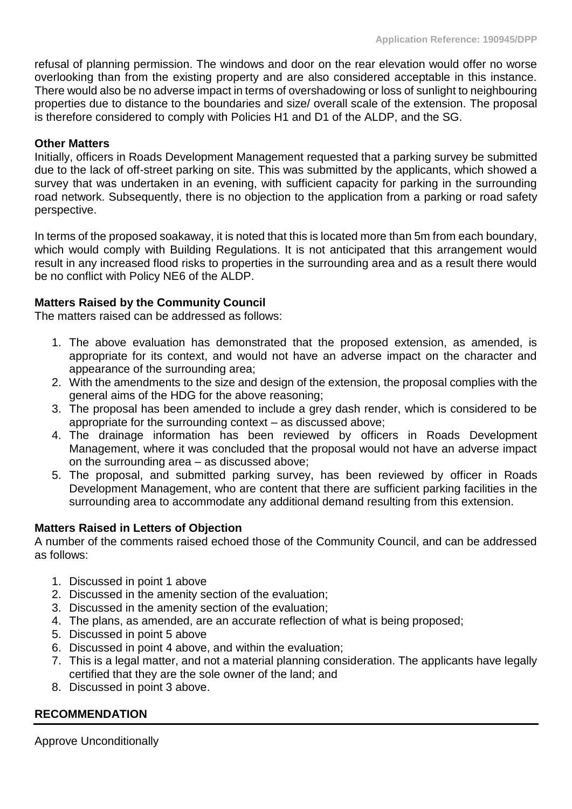refusal of planning permission. The windows and door on the rear elevation would offer no worse overlooking than from the existing property and are also considered acceptable in this instance. There would also be no adverse impact in terms of overshadowing or loss of sunlight to neighbouring properties due to distance to the boundaries and size/ overall scale of the extension. The proposal is therefore considered to comply with Policies H1 and D1 of the ALDP, and the SG.

### **Other Matters**

Initially, officers in Roads Development Management requested that a parking survey be submitted due to the lack of off-street parking on site. This was submitted by the applicants, which showed a survey that was undertaken in an evening, with sufficient capacity for parking in the surrounding road network. Subsequently, there is no objection to the application from a parking or road safety perspective.

In terms of the proposed soakaway, it is noted that this is located more than 5m from each boundary, which would comply with Building Regulations. It is not anticipated that this arrangement would result in any increased flood risks to properties in the surrounding area and as a result there would be no conflict with Policy NE6 of the ALDP.

# **Matters Raised by the Community Council**

The matters raised can be addressed as follows:

- 1. The above evaluation has demonstrated that the proposed extension, as amended, is appropriate for its context, and would not have an adverse impact on the character and appearance of the surrounding area;
- 2. With the amendments to the size and design of the extension, the proposal complies with the general aims of the HDG for the above reasoning;
- 3. The proposal has been amended to include a grey dash render, which is considered to be appropriate for the surrounding context – as discussed above;
- 4. The drainage information has been reviewed by officers in Roads Development Management, where it was concluded that the proposal would not have an adverse impact on the surrounding area – as discussed above;
- 5. The proposal, and submitted parking survey, has been reviewed by officer in Roads Development Management, who are content that there are sufficient parking facilities in the surrounding area to accommodate any additional demand resulting from this extension.

## **Matters Raised in Letters of Objection**

A number of the comments raised echoed those of the Community Council, and can be addressed as follows:

- 1. Discussed in point 1 above
- 2. Discussed in the amenity section of the evaluation;
- 3. Discussed in the amenity section of the evaluation;
- 4. The plans, as amended, are an accurate reflection of what is being proposed;
- 5. Discussed in point 5 above
- 6. Discussed in point 4 above, and within the evaluation;
- 7. This is a legal matter, and not a material planning consideration. The applicants have legally certified that they are the sole owner of the land; and
- 8. Discussed in point 3 above.

## **RECOMMENDATION**

Approve Unconditionally